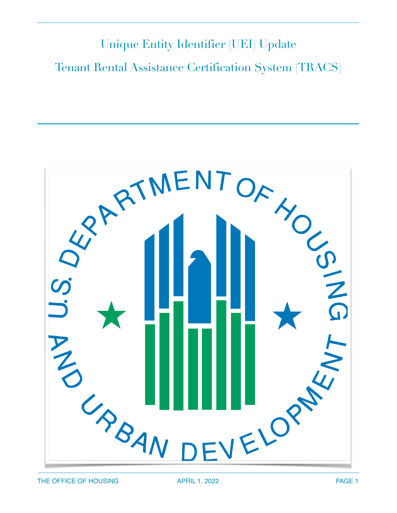# Unique Entity Identifier (UEI) Update Tenant Rental Assistance Certification System (TRACS)

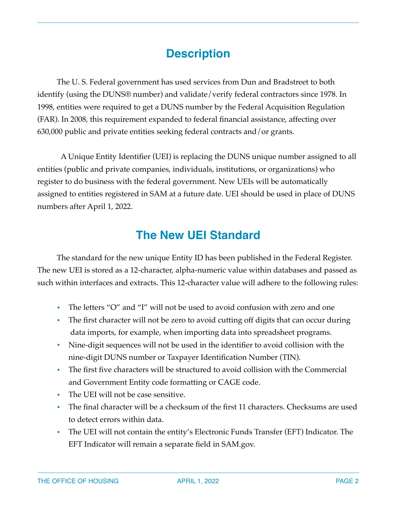## **Description**

The U. S. Federal government has used services from Dun and Bradstreet to both identify (using the DUNS® number) and validate/verify federal contractors since 1978. In 1998, entities were required to get a DUNS number by the Federal Acquisition Regulation (FAR). In 2008, this requirement expanded to federal financial assistance, affecting over 630,000 public and private entities seeking federal contracts and/or grants.

A Unique Entity Identifier (UEI) is replacing the DUNS unique number assigned to all entities (public and private companies, individuals, institutions, or organizations) who register to do business with the federal government. New UEIs will be automatically assigned to entities registered in SAM at a future date. UEI should be used in place of DUNS numbers after April 1, 2022.

## **The New UEI Standard**

The standard for the new unique Entity ID has been published in the Federal Register. The new UEI is stored as a 12-character, alpha-numeric value within databases and passed as such within interfaces and extracts. This 12-character value will adhere to the following rules:

- The letters "O" and "I" will not be used to avoid confusion with zero and one
- The first character will not be zero to avoid cutting off digits that can occur during data imports, for example, when importing data into spreadsheet programs.
- Nine-digit sequences will not be used in the identifier to avoid collision with the nine-digit DUNS number or Taxpayer Identification Number (TIN).
- The first five characters will be structured to avoid collision with the Commercial and Government Entity code formatting or CAGE code.
- The UEI will not be case sensitive.
- The final character will be a checksum of the first 11 characters. Checksums are used to detect errors within data.
- The UEI will not contain the entity's Electronic Funds Transfer (EFT) Indicator. The EFT Indicator will remain a separate field in SAM.gov.